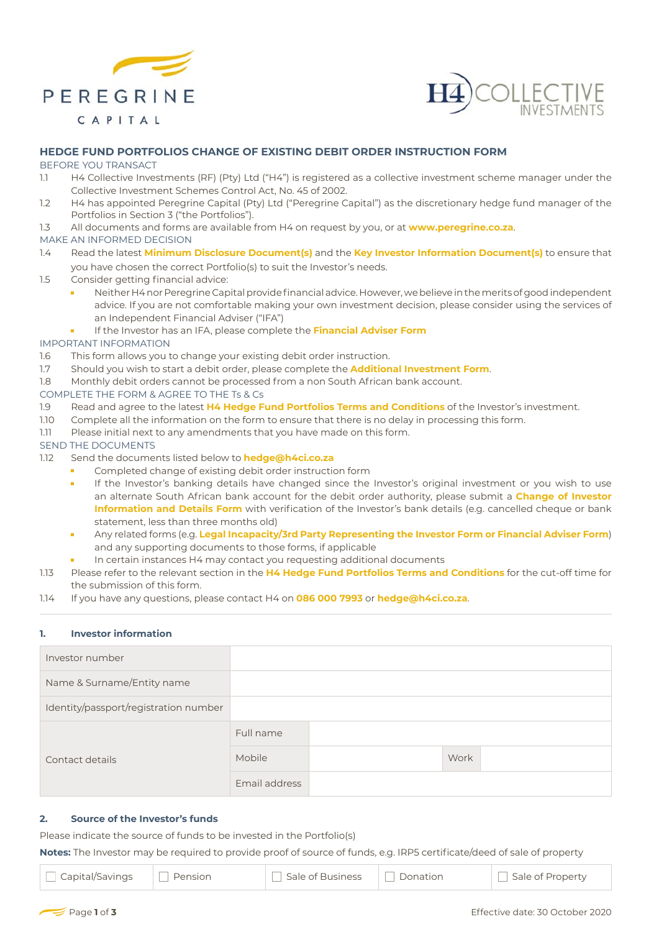



# **HEDGE FUND PORTFOLIOS CHANGE OF EXISTING DEBIT ORDER INSTRUCTION FORM**

### BEFORE YOU TRANSACT

- 1.1 H4 Collective Investments (RF) (Pty) Ltd ("H4") is registered as a collective investment scheme manager under the Collective Investment Schemes Control Act, No. 45 of 2002.
- 1.2 H4 has appointed Peregrine Capital (Pty) Ltd ("Peregrine Capital") as the discretionary hedge fund manager of the Portfolios in Section 3 ("the Portfolios").
- 1.3 All documents and forms are available from H4 on request by you, or at **www.peregrine.co.za**.

## MAKE AN INFORMED DECISION

- 1.4 Read the latest **Minimum Disclosure Document(s)** and the **Key Investor Information Document(s)** to ensure that you have chosen the correct Portfolio(s) to suit the Investor's needs.
- 1.5 Consider getting financial advice:
	- Neither H4 nor Peregrine Capital provide financial advice. However, we believe in the merits of good independent advice. If you are not comfortable making your own investment decision, please consider using the services of an Independent Financial Adviser ("IFA")
	- If the Investor has an IFA, please complete the **Financial Adviser Form** H

# IMPORTANT INFORMATION

- 1.6 This form allows you to change your existing debit order instruction.
- 1.7 Should you wish to start a debit order, please complete the **Additional Investment Form**.
- 1.8 Monthly debit orders cannot be processed from a non South African bank account.

# COMPLETE THE FORM & AGREE TO THE Ts & Cs

- 1.9 Read and agree to the latest **H4 Hedge Fund Portfolios Terms and Conditions** of the Investor's investment.
- 1.10 Complete all the information on the form to ensure that there is no delay in processing this form.
- 1.11 Please initial next to any amendments that you have made on this form.

## SEND THE DOCUMENTS

- 1.12 Send the documents listed below to **hedge@h4ci.co.za**
	- Ė Completed change of existing debit order instruction form
	- If the Investor's banking details have changed since the Investor's original investment or you wish to use Ē an alternate South African bank account for the debit order authority, please submit a **Change of Investor Information and Details Form** with verification of the Investor's bank details (e.g. cancelled cheque or bank statement, less than three months old)
	- Any related forms (e.g. **Legal Incapacity/3rd Party Representing the Investor Form or Financial Adviser Form**) and any supporting documents to those forms, if applicable
	- In certain instances H4 may contact you requesting additional documents
- 1.13 Please refer to the relevant section in the **H4 Hedge Fund Portfolios Terms and Conditions** for the cut-off time for the submission of this form.
- 1.14 If you have any questions, please contact H4 on **086 000 7993** or **hedge@h4ci.co.za**.

#### **1. Investor information**

| Investor number                       |               |      |  |
|---------------------------------------|---------------|------|--|
| Name & Surname/Entity name            |               |      |  |
| Identity/passport/registration number |               |      |  |
| Contact details                       | Full name     |      |  |
|                                       | Mobile        | Work |  |
|                                       | Email address |      |  |

# **2. Source of the Investor's funds**

Please indicate the source of funds to be invested in the Portfolio(s)

**Notes:** The Investor may be required to provide proof of source of funds, e.g. IRP5 certificate/deed of sale of property

Capital/Savings Pension Sale of Business Donation Sale of Property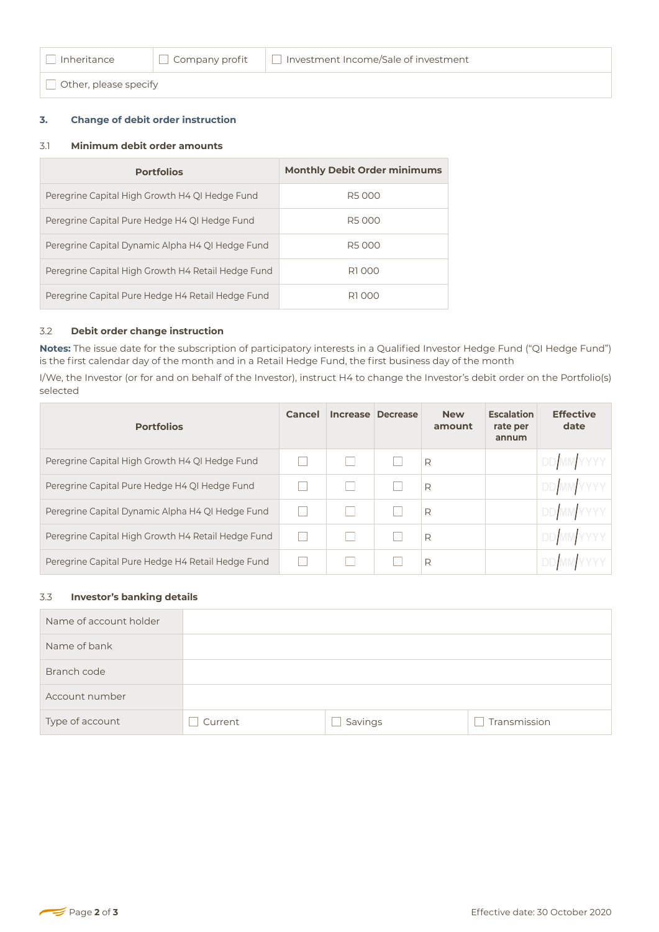□ Other, please specify

### **3. Change of debit order instruction**

### 3.1 **Minimum debit order amounts**

| <b>Portfolios</b>                                  | <b>Monthly Debit Order minimums</b> |
|----------------------------------------------------|-------------------------------------|
| Peregrine Capital High Growth H4 QI Hedge Fund     | R5000                               |
| Peregrine Capital Pure Hedge H4 QI Hedge Fund      | R5000                               |
| Peregrine Capital Dynamic Alpha H4 QI Hedge Fund   | R5000                               |
| Peregrine Capital High Growth H4 Retail Hedge Fund | R1000                               |
| Peregrine Capital Pure Hedge H4 Retail Hedge Fund  | R1 000                              |

### 3.2 **Debit order change instruction**

**Notes:** The issue date for the subscription of participatory interests in a Qualified Investor Hedge Fund ("QI Hedge Fund") is the first calendar day of the month and in a Retail Hedge Fund, the first business day of the month

I/We, the Investor (or for and on behalf of the Investor), instruct H4 to change the Investor's debit order on the Portfolio(s) selected

| <b>Portfolios</b>                                  | Cancel | Increase Decrease | <b>New</b><br>amount | <b>Escalation</b><br>rate per<br>annum | <b>Effective</b><br>date |
|----------------------------------------------------|--------|-------------------|----------------------|----------------------------------------|--------------------------|
| Peregrine Capital High Growth H4 QI Hedge Fund     |        |                   | R                    |                                        | DD MMYYYY                |
| Peregrine Capital Pure Hedge H4 QI Hedge Fund      |        |                   | R                    |                                        | <b>DD</b> MMYYYY         |
| Peregrine Capital Dynamic Alpha H4 QI Hedge Fund   |        |                   | R                    |                                        | <b>DD</b> MM YYYY        |
| Peregrine Capital High Growth H4 Retail Hedge Fund |        |                   | R                    |                                        | <b>DD</b> MM YYYY        |
| Peregrine Capital Pure Hedge H4 Retail Hedge Fund  |        |                   | R                    |                                        |                          |

### 3.3 **Investor's banking details**

| Name of account holder |         |         |              |
|------------------------|---------|---------|--------------|
| Name of bank           |         |         |              |
| Branch code            |         |         |              |
| Account number         |         |         |              |
| Type of account        | Current | Savings | Transmission |